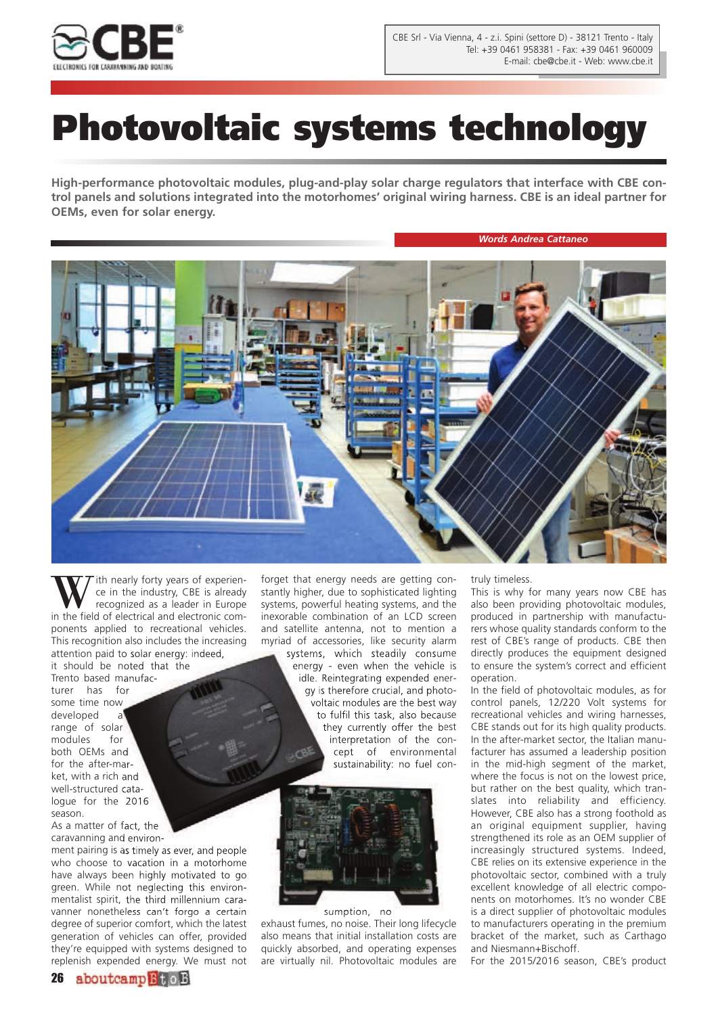

## **Photovoltaic systems technology**

**High-performance photovoltaic modules, plug-and-play solar charge regulators that interface with CBE control panels and solutions integrated into the motorhomes' original wiring harness. CBE is an ideal partner for OEMs, even for solar energy.**

*Words Andrea Cattaneo*



ith nearly forty years of experience in the industry, CBE is already recognized as a leader in Europe in the field of electrical and electronic components applied to recreational vehicles. This recognition also includes the increasing attention paid to solar energy: indeed, it should be noted that the Trento based manufacturer has for some time now developed a range of solar modules for both OEMs and for the after-mar-

ket, with a rich and well-structured catalogue for the 2016 season.

As a matter of fact, the caravanning and environ-

ment pairing is as timely as ever, and people who choose to vacation in a motorhome have always been highly motivated to go green. While not neglecting this environmentalist spirit, the third millennium caravanner nonetheless can't forgo a certain degree of superior comfort, which the latest generation of vehicles can offer, provided they're equipped with systems designed to replenish expended energy. We must not

forget that energy needs are getting constantly higher, due to sophisticated lighting systems, powerful heating systems, and the inexorable combination of an LCD screen and satellite antenna, not to mention a myriad of accessories, like security alarm systems, which steadily consume energy - even when the vehicle is idle. Reintegrating expended energy is therefore crucial, and photovoltaic modules are the best way to fulfil this task, also because they currently offer the best interpretation of the concept of environmental sustainability: no fuel con-



sumption, no exhaust fumes, no noise. Their long lifecycle also means that initial installation costs are quickly absorbed, and operating expenses are virtually nil. Photovoltaic modules are

truly timeless.

This is why for many years now CBE has also been providing photovoltaic modules, produced in partnership with manufacturers whose quality standards conform to the rest of CBE's range of products. CBE then directly produces the equipment designed to ensure the system's correct and efficient operation.

In the field of photovoltaic modules, as for control panels, 12/220 Volt systems for recreational vehicles and wiring harnesses, CBE stands out for its high quality products. In the after-market sector, the Italian manufacturer has assumed a leadership position in the mid-high segment of the market, where the focus is not on the lowest price, but rather on the best quality, which translates into reliability and efficiency. However, CBE also has a strong foothold as an original equipment supplier, having strengthened its role as an OEM supplier of increasingly structured systems. Indeed, CBE relies on its extensive experience in the photovoltaic sector, combined with a truly excellent knowledge of all electric components on motorhomes. It's no wonder CBE is a direct supplier of photovoltaic modules to manufacturers operating in the premium bracket of the market, such as Carthago and Niesmann+Bischoff.

For the 2015/2016 season, CBE's product